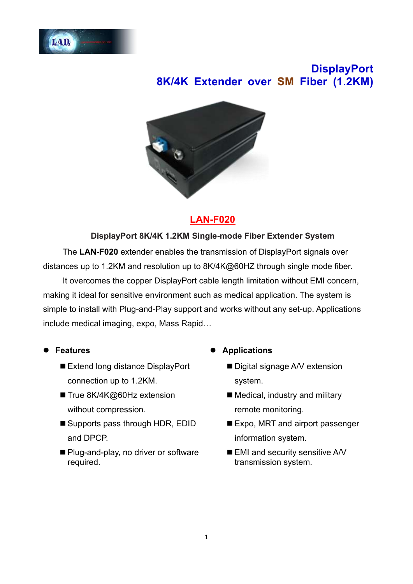

# **DisplayPort 8K/4K Extender over SM Fiber (1.2KM)**



## **LAN-F020**

#### **DisplayPort 8K/4K 1.2KM Single-mode Fiber Extender System**

The **LAN-F020** extender enables the transmission of DisplayPort signals over distances up to 1.2KM and resolution up to 8K/4K@60HZ through single mode fiber.

It overcomes the copper DisplayPort cable length limitation without EMI concern, making it ideal for sensitive environment such as medical application. The system is simple to install with Plug-and-Play support and works without any set-up. Applications include medical imaging, expo, Mass Rapid…

- ⚫ **Features**
	- Extend long distance DisplayPort connection up to 1.2KM.
	- True 8K/4K@60Hz extension without compression.
	- Supports pass through HDR, EDID and DPCP.
	- Plug-and-play, no driver or software required.
- ⚫ **Applications**
	- Digital signage A/V extension system.
	- Medical, industry and military remote monitoring.
	- Expo, MRT and airport passenger information system.
	- EMI and security sensitive A/V transmission system.